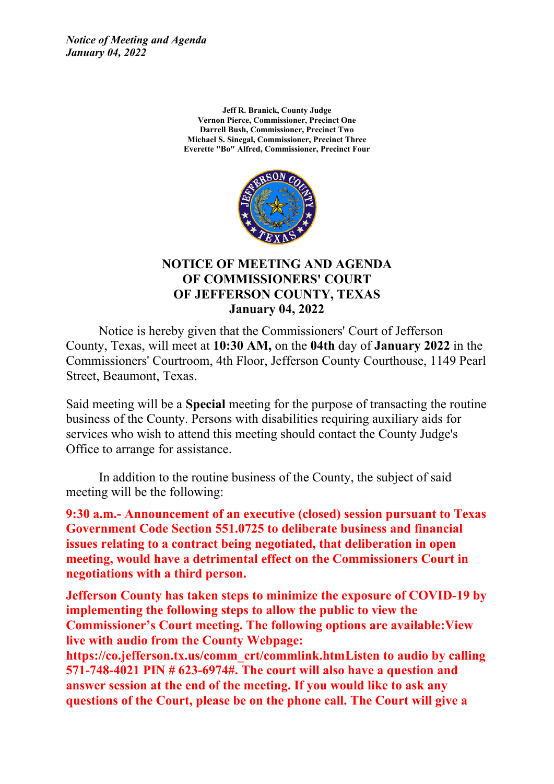*Notice of Meeting and Agenda January 04, 2022*

> **Jeff R. Branick, County Judge Vernon Pierce, Commissioner, Precinct One Darrell Bush, Commissioner, Precinct Two Michael S. Sinegal, Commissioner, Precinct Three Everette "Bo" Alfred, Commissioner, Precinct Four**



#### **NOTICE OF MEETING AND AGENDA OF COMMISSIONERS' COURT OF JEFFERSON COUNTY, TEXAS January 04, 2022**

Notice is hereby given that the Commissioners' Court of Jefferson County, Texas, will meet at **10:30 AM,** on the **04th** day of **January 2022** in the Commissioners' Courtroom, 4th Floor, Jefferson County Courthouse, 1149 Pearl Street, Beaumont, Texas.

Said meeting will be <sup>a</sup> **Special** meeting for the purpose of transacting the routine business of the County. Persons with disabilities requiring auxiliary aids for services who wish to attend this meeting should contact the County Judge's Office to arrange for assistance.

In addition to the routine business of the County, the subject of said meeting will be the following:

**9:30 a.m.- Announcement of an executive (closed) session pursuant to Texas Government Code Section 551.0725 to deliberate business and financial issues relating to <sup>a</sup> contract being negotiated, that deliberation in open meeting, would have <sup>a</sup> detrimental effect on the Commissioners Court in negotiations with <sup>a</sup> third person.**

**Jefferson County has taken steps to minimize the exposure of COVID-19 by implementing the following steps to allow the public to view the Commissioner's Court meeting. The following options are available:View live with audio from the County Webpage:**

**https://co.jefferson.tx.us/comm\_crt/commlink.htmListen to audio by calling 571-748-4021 PIN # 623-6974#. The court will also have <sup>a</sup> question and answer session at the end of the meeting. If you would like to ask any questions of the Court, please be on the phone call. The Court will give <sup>a</sup>**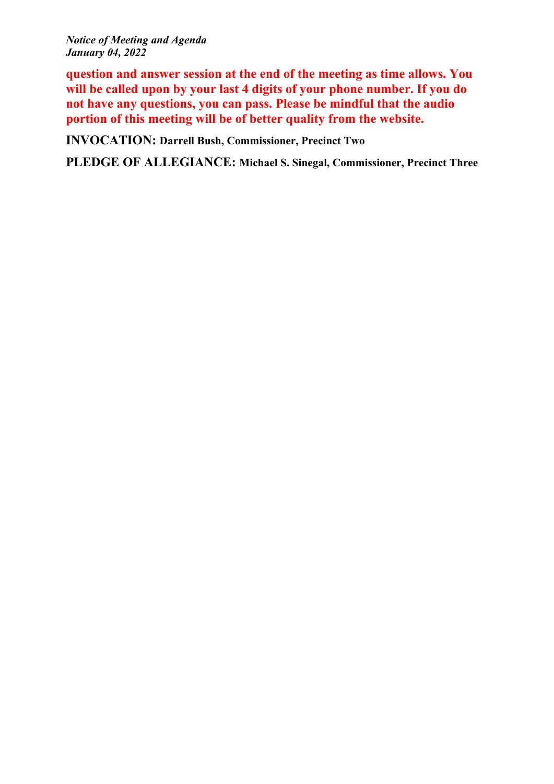*Notice of Meeting and Agenda January 04, 2022*

**question and answer session at the end of the meeting as time allows. You will be called upon by your last 4 digits of your phone number. If you do not have any questions, you can pass. Please be mindful that the audio portion of this meeting will be of better quality from the website.**

**INVOCATION: Darrell Bush, Commissioner, Precinct Two**

**PLEDGE OF ALLEGIANCE: Michael S. Sinegal, Commissioner, Precinct Three**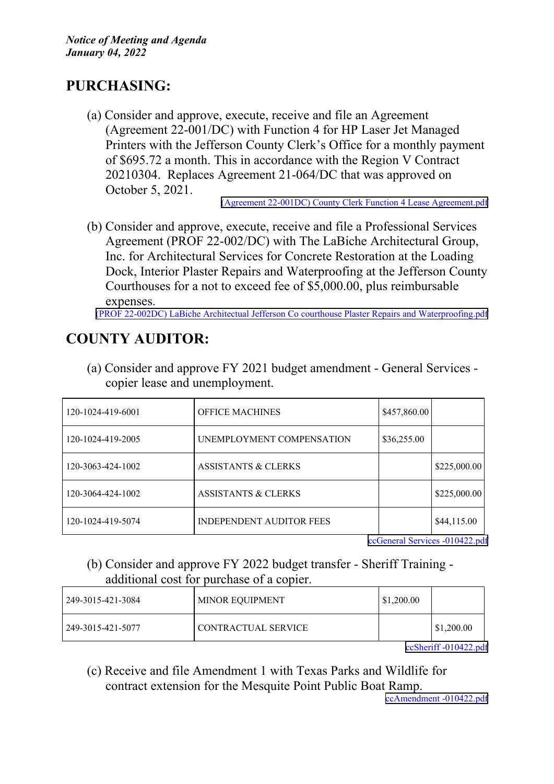## **PURCHASING:**

(a) Consider and approve, execute, receive and file an Agreement (Agreement 22-001/DC) with Function 4 for HP Laser Jet Managed Printers with the Jefferson County Clerk's Office for <sup>a</sup> monthly paymen<sup>t</sup> of \$695.72 <sup>a</sup> month. This in accordance with the Region V Contract 20210304. Replaces Agreement 21-064/DC that was approved on October 5, 2021.

(Agreement 22-001DC) County Clerk Function 4 Lease [Agreement.pdf](http://co.jefferson.tx.us/agenda/agendas_pl/20220104_669/Attachments/(Agreement 22-001DC) County Clerk Function 4 Lease Agreement.pdf)

(b) Consider and approve, execute, receive and file <sup>a</sup> Professional Services Agreement (PROF 22-002/DC) with The LaBiche Architectural Group, Inc. for Architectural Services for Concrete Restoration at the Loading Dock, Interior Plaster Repairs and Waterproofing at the Jefferson County Courthouses for <sup>a</sup> not to exceed fee of \$5,000.00, plus reimbursable expenses.

(PROF 22-002DC) LaBiche Architectual Jefferson Co courthouse Plaster Repairs and [Waterproofing.pdf](http://co.jefferson.tx.us/agenda/agendas_pl/20220104_669/Attachments/(PROF 22-002DC) LaBiche Architectual Jefferson Co courthouse Plaster Repairs and Waterproofing.pdf)

# **COUNTY AUDITOR:**

(a) Consider and approve FY 2021 budget amendment - General Services copier lease and unemployment.

| 120-1024-419-6001 | <b>OFFICE MACHINES</b>          | \$457,860.00 |              |
|-------------------|---------------------------------|--------------|--------------|
| 120-1024-419-2005 | UNEMPLOYMENT COMPENSATION       | \$36,255.00  |              |
| 120-3063-424-1002 | <b>ASSISTANTS &amp; CLERKS</b>  |              | \$225,000.00 |
| 120-3064-424-1002 | <b>ASSISTANTS &amp; CLERKS</b>  |              | \$225,000.00 |
| 120-1024-419-5074 | <b>INDEPENDENT AUDITOR FEES</b> |              | \$44,115.00  |

ccGeneral Services [-010422.pdf](http://co.jefferson.tx.us/agenda/agendas_pl/20220104_669/Attachments/ccGeneral Services -010422.pdf)

#### (b) Consider and approve FY 2022 budget transfer - Sheriff Training additional cost for purchase of <sup>a</sup> copier.

| 249-3015-421-3084 | MINOR EQUIPMENT     | \$1,200.00 |                   |
|-------------------|---------------------|------------|-------------------|
| 249-3015-421-5077 | CONTRACTUAL SERVICE |            | $\mid$ \$1,200.00 |
|                   |                     | $\sim$     | 100.010100        |

ccSheriff [-010422.pdf](http://co.jefferson.tx.us/agenda/agendas_pl/20220104_669/Attachments/ccSheriff -010422.pdf)

(c) Receive and file Amendment 1 with Texas Parks and Wildlife for contract extension for the Mesquite Point Public Boat Ramp.

ccAmendment [-010422.pdf](http://co.jefferson.tx.us/agenda/agendas_pl/20220104_669/Attachments/ccAmendment -010422.pdf)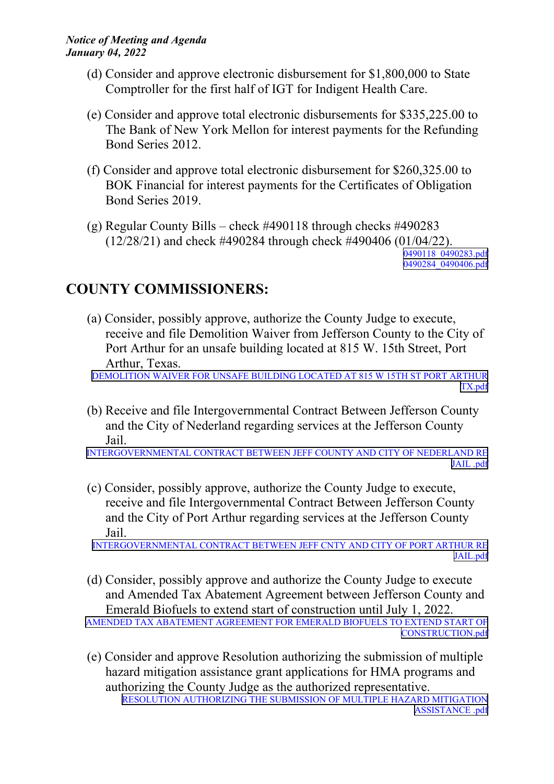- (d) Consider and approve electronic disbursement for \$1,800,000 to State Comptroller for the first half of IGT for Indigent Health Care.
- (e) Consider and approve total electronic disbursements for \$335,225.00 to The Bank of New York Mellon for interest payments for the Refunding Bond Series 2012.
- (f) Consider and approve total electronic disbursement for \$260,325.00 to BOK Financial for interest payments for the Certificates of Obligation Bond Series 2019.
- (g) Regular County Bills check #490118 through checks #490283 (12/28/21) and check #490284 through check #490406 (01/04/22). [0490118\\_0490283.pdf](http://co.jefferson.tx.us/agenda/agendas_pl/20220104_669/Attachments/0490118_0490283.pdf) [0490284](http://co.jefferson.tx.us/agenda/agendas_pl/20220104_669/Attachments/0490284_0490406.pdf)\_[0490406.pdf](http://co.jefferson.tx.us/agenda/agendas_pl/20220104_669/Attachments/0490284_0490406.pdf)

## **COUNTY COMMISSIONERS:**

(a) Consider, possibly approve, authorize the County Judge to execute, receive and file Demolition Waiver from Jefferson County to the City of Port Arthur for an unsafe building located at 815 W. 15th Street, Port Arthur, Texas.

[DEMOLITION](http://co.jefferson.tx.us/agenda/agendas_pl/20220104_669/Attachments/DEMOLITION WAIVER FOR UNSAFE BUILDING LOCATED AT 815 W 15TH ST PORT ARTHUR TX.pdf) WAIVER FOR UNSAFE BUILDING LOCATED AT 815 W 15TH ST PORT ARTHUR [TX.pdf](http://co.jefferson.tx.us/agenda/agendas_pl/20220104_669/Attachments/DEMOLITION WAIVER FOR UNSAFE BUILDING LOCATED AT 815 W 15TH ST PORT ARTHUR TX.pdf)

(b) Receive and file Intergovernmental Contract Between Jefferson County and the City of Nederland regarding services at the Jefferson County Jail.

[INTERGOVERNMENTAL](http://co.jefferson.tx.us/agenda/agendas_pl/20220104_669/Attachments/INTERGOVERNMENTAL CONTRACT BETWEEN JEFF COUNTY AND CITY OF NEDERLAND RE JAIL .pdf) CONTRACT BETWEEN JEFF COUNTY AND CITY OF NEDERLAND RE [JAIL](http://co.jefferson.tx.us/agenda/agendas_pl/20220104_669/Attachments/INTERGOVERNMENTAL CONTRACT BETWEEN JEFF COUNTY AND CITY OF NEDERLAND RE JAIL .pdf) .pdf

(c) Consider, possibly approve, authorize the County Judge to execute, receive and file Intergovernmental Contract Between Jefferson County and the City of Port Arthur regarding services at the Jefferson County Jail.

[INTERGOVERNMENTAL](http://co.jefferson.tx.us/agenda/agendas_pl/20220104_669/Attachments/INTERGOVERNMENTAL CONTRACT BETWEEN JEFF CNTY AND CITY OF PORT ARTHUR RE JAIL.pdf) CONTRACT BETWEEN JEFF CNTY AND CITY OF PORT ARTHUR RE [JAIL.pdf](http://co.jefferson.tx.us/agenda/agendas_pl/20220104_669/Attachments/INTERGOVERNMENTAL CONTRACT BETWEEN JEFF CNTY AND CITY OF PORT ARTHUR RE JAIL.pdf)

(d) Consider, possibly approve and authorize the County Judge to execute and Amended Tax Abatement Agreement between Jefferson County and Emerald Biofuels to extend start of construction until July 1, 2022.

AMENDED TAX ABATEMENT [AGREEMENT](http://co.jefferson.tx.us/agenda/agendas_pl/20220104_669/Attachments/AMENDED TAX ABATEMENT AGREEMENT FOR EMERALD BIOFUELS TO EXTEND START OF CONSTRUCTION.pdf) FOR EMERALD BIOFUELS TO EXTEND START OF [CONSTRUCTION.pdf](http://co.jefferson.tx.us/agenda/agendas_pl/20220104_669/Attachments/AMENDED TAX ABATEMENT AGREEMENT FOR EMERALD BIOFUELS TO EXTEND START OF CONSTRUCTION.pdf)

(e) Consider and approve Resolution authorizing the submission of multiple hazard mitigation assistance gran<sup>t</sup> applications for HMA programs and authorizing the County Judge as the authorized representative. RESOLUTION [AUTHORIZING](http://co.jefferson.tx.us/agenda/agendas_pl/20220104_669/Attachments/RESOLUTION AUTHORIZING THE SUBMISSION OF MULTIPLE HAZARD MITIGATION ASSISTANCE .pdf) THE SUBMISSION OF MULTIPLE HAZARD MITIGATION [ASSISTANCE](http://co.jefferson.tx.us/agenda/agendas_pl/20220104_669/Attachments/RESOLUTION AUTHORIZING THE SUBMISSION OF MULTIPLE HAZARD MITIGATION ASSISTANCE .pdf) .pdf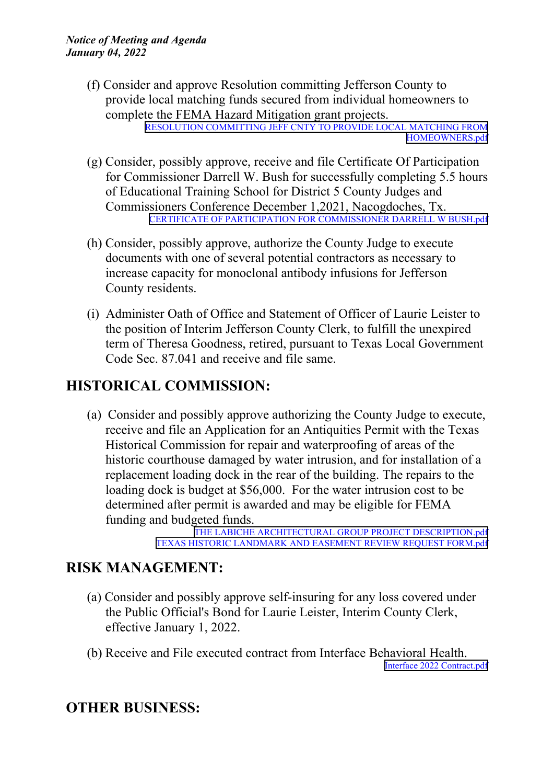- (f) Consider and approve Resolution committing Jefferson County to provide local matching funds secured from individual homeowners to complete the FEMA Hazard Mitigation gran<sup>t</sup> projects. RESOLUTION [COMMITTING](http://co.jefferson.tx.us/agenda/agendas_pl/20220104_669/Attachments/RESOLUTION COMMITTING JEFF CNTY TO PROVIDE LOCAL MATCHING FROM HOMEOWNERS.pdf) JEFF CNTY TO PROVIDE LOCAL MATCHING FROM [HOMEOWNERS.pdf](http://co.jefferson.tx.us/agenda/agendas_pl/20220104_669/Attachments/RESOLUTION COMMITTING JEFF CNTY TO PROVIDE LOCAL MATCHING FROM HOMEOWNERS.pdf)
- (g) Consider, possibly approve, receive and file Certificate Of Participation for Commissioner Darrell W. Bush for successfully completing 5.5 hours of Educational Training School for District 5 County Judges and Commissioners Conference December 1,2021, Nacogdoches, Tx. CERTIFICATE OF PARTICIPATION FOR [COMMISSIONER](http://co.jefferson.tx.us/agenda/agendas_pl/20220104_669/Attachments/CERTIFICATE OF PARTICIPATION FOR COMMISSIONER DARRELL W BUSH.pdf) DARRELL W BUSH.pdf
- (h) Consider, possibly approve, authorize the County Judge to execute documents with one of several potential contractors as necessary to increase capacity for monoclonal antibody infusions for Jefferson County residents.
- (i) Administer Oath of Office and Statement of Officer of Laurie Leister to the position of Interim Jefferson County Clerk, to fulfill the unexpired term of Theresa Goodness, retired, pursuan<sup>t</sup> to Texas Local Government Code Sec. 87.041 and receive and file same.

### **HISTORICAL COMMISSION:**

(a) Consider and possibly approve authorizing the County Judge to execute, receive and file an Application for an Antiquities Permit with the Texas Historical Commission for repair and waterproofing of areas of the historic courthouse damaged by water intrusion, and for installation of <sup>a</sup> replacement loading dock in the rear of the building. The repairs to the loading dock is budget at \$56,000. For the water intrusion cost to be determined after permit is awarded and may be eligible for FEMA funding and budgeted funds.

THE LABICHE ARCHITECTURAL GROUP PROJECT [DESCRIPTION.pdf](http://co.jefferson.tx.us/agenda/agendas_pl/20220104_669/Attachments/THE LABICHE ARCHITECTURAL GROUP PROJECT DESCRIPTION.pdf) TEXAS HISTORIC [LANDMARK](http://co.jefferson.tx.us/agenda/agendas_pl/20220104_669/Attachments/TEXAS HISTORIC LANDMARK AND EASEMENT REVIEW REQUEST FORM.pdf) AND EASEMENT REVIEW REQUEST FORM.pdf

#### **RISK MANAGEMENT:**

- (a) Consider and possibly approve self-insuring for any loss covered under the Public Official's Bond for Laurie Leister, Interim County Clerk, effective January 1, 2022.
- (b) Receive and File executed contract from Interface Behavioral Health. Interface 2022 [Contract.pdf](http://co.jefferson.tx.us/agenda/agendas_pl/20220104_669/Attachments/Interface 2022 Contract.pdf)

### **OTHER BUSINESS:**